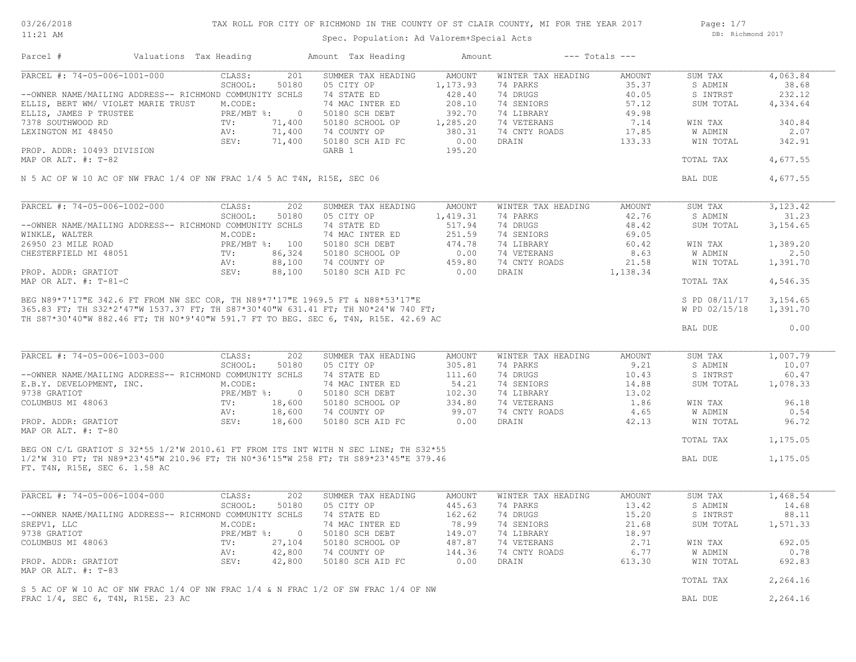03/26/2018 11:21 AM

## TAX ROLL FOR CITY OF RICHMOND IN THE COUNTY OF ST CLAIR COUNTY, MI FOR THE YEAR 2017

Spec. Population: Ad Valorem+Special Acts

Parcel # Valuations Tax Heading Amount Tax Heading Amount --- Totals ---

Page: 1/7 DB: Richmond 2017

| PARCEL #: 74-05-006-1001-000                                                                                                                                                                                                                              | CLASS:       | 201            | SUMMER TAX HEADING | <b>AMOUNT</b> | WINTER TAX HEADING | <b>AMOUNT</b> | SUM TAX                        | 4,063.84             |
|-----------------------------------------------------------------------------------------------------------------------------------------------------------------------------------------------------------------------------------------------------------|--------------|----------------|--------------------|---------------|--------------------|---------------|--------------------------------|----------------------|
|                                                                                                                                                                                                                                                           | SCHOOL:      | 50180          | 05 CITY OP         | 1,173.93      | 74 PARKS           | 35.37         | S ADMIN                        | 38.68                |
| --OWNER NAME/MAILING ADDRESS-- RICHMOND COMMUNITY SCHLS                                                                                                                                                                                                   |              |                | 74 STATE ED        | 428.40        | 74 DRUGS           | 40.05         | S INTRST                       | 232.12               |
| ELLIS, BERT WM/ VIOLET MARIE TRUST                                                                                                                                                                                                                        | M.CODE:      |                | 74 MAC INTER ED    | 208.10        | 74 SENIORS         | 57.12         | SUM TOTAL                      | 4,334.64             |
| ELLIS, JAMES P TRUSTEE                                                                                                                                                                                                                                    | PRE/MBT %:   | $\overline{0}$ | 50180 SCH DEBT     | 392.70        | 74 LIBRARY         | 49.98         |                                |                      |
| 7378 SOUTHWOOD RD                                                                                                                                                                                                                                         | TV:          | 71,400         | 50180 SCHOOL OP    | 1,285.20      | 74 VETERANS        | 7.14          | WIN TAX                        | 340.84               |
| LEXINGTON MI 48450                                                                                                                                                                                                                                        | AV:          | 71,400         | 74 COUNTY OP       | 380.31        | 74 CNTY ROADS      | 17.85         | W ADMIN                        | 2.07                 |
|                                                                                                                                                                                                                                                           | SEV:         | 71,400         | 50180 SCH AID FC   | 0.00          | DRAIN              | 133.33        | WIN TOTAL                      | 342.91               |
| PROP. ADDR: 10493 DIVISION<br>MAP OR ALT. #: T-82                                                                                                                                                                                                         |              |                | GARB 1             | 195.20        |                    |               | TOTAL TAX                      | 4,677.55             |
| N 5 AC OF W 10 AC OF NW FRAC 1/4 OF NW FRAC 1/4 5 AC T4N, R15E, SEC 06                                                                                                                                                                                    |              |                |                    |               |                    |               | BAL DUE                        | 4,677.55             |
|                                                                                                                                                                                                                                                           |              |                |                    |               |                    |               |                                |                      |
| PARCEL #: 74-05-006-1002-000                                                                                                                                                                                                                              | CLASS:       | 202            | SUMMER TAX HEADING | <b>AMOUNT</b> | WINTER TAX HEADING | <b>AMOUNT</b> | SUM TAX                        | 3,123.42             |
|                                                                                                                                                                                                                                                           | SCHOOL:      | 50180          | 05 CITY OP         | 1,419.31      | 74 PARKS           | 42.76         | S ADMIN                        | 31.23                |
| --OWNER NAME/MAILING ADDRESS-- RICHMOND COMMUNITY SCHLS                                                                                                                                                                                                   |              |                | 74 STATE ED        | 517.94        | 74 DRUGS           | 48.42         | SUM TOTAL                      | 3,154.65             |
| WINKLE, WALTER                                                                                                                                                                                                                                            | M.CODE:      |                | 74 MAC INTER ED    | 251.59        | 74 SENIORS         | 69.05         |                                |                      |
| 26950 23 MILE ROAD                                                                                                                                                                                                                                        |              | PRE/MBT %: 100 | 50180 SCH DEBT     | 474.78        | 74 LIBRARY         | 60.42         | WIN TAX                        | 1,389.20             |
| CHESTERFIELD MI 48051                                                                                                                                                                                                                                     | TV:          | 86,324         | 50180 SCHOOL OP    | 0.00          | 74 VETERANS        | 8.63          | W ADMIN                        | 2.50                 |
|                                                                                                                                                                                                                                                           | AV:          | 88,100         | 74 COUNTY OP       | 459.80        | 74 CNTY ROADS      | 21.58         | WIN TOTAL                      | 1,391.70             |
| PROP. ADDR: GRATIOT                                                                                                                                                                                                                                       | SEV:         | 88,100         | 50180 SCH AID FC   | 0.00          | DRAIN              | 1,138.34      |                                |                      |
| MAP OR ALT. #: T-81-C                                                                                                                                                                                                                                     |              |                |                    |               |                    |               | TOTAL TAX                      | 4,546.35             |
| BEG N89*7'17"E 342.6 FT FROM NW SEC COR, TH N89*7'17"E 1969.5 FT & N88*53'17"E<br>365.83 FT; TH S32*2'47"W 1537.37 FT; TH S87*30'40"W 631.41 FT; TH N0*24'W 740 FT;<br>TH S87*30'40"W 882.46 FT; TH N0*9'40"W 591.7 FT TO BEG. SEC 6, T4N, R15E. 42.69 AC |              |                |                    |               |                    |               | S PD 08/11/17<br>W PD 02/15/18 | 3,154.65<br>1,391.70 |
|                                                                                                                                                                                                                                                           |              |                |                    |               |                    |               | BAL DUE                        | 0.00                 |
| PARCEL #: 74-05-006-1003-000                                                                                                                                                                                                                              | CLASS:       | 202            | SUMMER TAX HEADING | AMOUNT        | WINTER TAX HEADING | AMOUNT        | SUM TAX                        | 1,007.79             |
|                                                                                                                                                                                                                                                           | SCHOOL:      | 50180          | 05 CITY OP         | 305.81        | 74 PARKS           | 9.21          | S ADMIN                        | 10.07                |
| --OWNER NAME/MAILING ADDRESS-- RICHMOND COMMUNITY SCHLS                                                                                                                                                                                                   |              |                | 74 STATE ED        | 111.60        | 74 DRUGS           | 10.43         | S INTRST                       | 60.47                |
| E.B.Y. DEVELOPMENT, INC.                                                                                                                                                                                                                                  | M.CODE:      |                | 74 MAC INTER ED    | 54.21         | 74 SENIORS         | 14.88         | SUM TOTAL                      | 1,078.33             |
| 9738 GRATIOT                                                                                                                                                                                                                                              | $PRE/MBT$ %: | $\bigcirc$     | 50180 SCH DEBT     | 102.30        | 74 LIBRARY         | 13.02         |                                |                      |
| COLUMBUS MI 48063                                                                                                                                                                                                                                         | TV:          | 18,600         | 50180 SCHOOL OP    | 334.80        | 74 VETERANS        | 1.86          | WIN TAX                        | 96.18                |
|                                                                                                                                                                                                                                                           | AV:          | 18,600         | 74 COUNTY OP       | 99.07         | 74 CNTY ROADS      | 4.65          | W ADMIN                        | 0.54                 |
| PROP. ADDR: GRATIOT                                                                                                                                                                                                                                       | SEV:         | 18,600         | 50180 SCH AID FC   | 0.00          | DRAIN              | 42.13         | WIN TOTAL                      | 96.72                |
| MAP OR ALT. #: T-80                                                                                                                                                                                                                                       |              |                |                    |               |                    |               |                                |                      |
|                                                                                                                                                                                                                                                           |              |                |                    |               |                    |               | TOTAL TAX                      | 1,175.05             |
| BEG ON C/L GRATIOT S 32*55 1/2'W 2010.61 FT FROM ITS INT WITH N SEC LINE; TH S32*55                                                                                                                                                                       |              |                |                    |               |                    |               |                                |                      |
| FT. T4N, R15E, SEC 6. 1.58 AC                                                                                                                                                                                                                             |              |                |                    |               |                    |               | BAL DUE                        | 1,175.05             |
| PARCEL #: 74-05-006-1004-000                                                                                                                                                                                                                              | CLASS:       | 202            | SUMMER TAX HEADING | <b>AMOUNT</b> | WINTER TAX HEADING | <b>AMOUNT</b> | SUM TAX                        | 1,468.54             |
|                                                                                                                                                                                                                                                           | SCHOOL:      | 50180          | 05 CITY OP         | 445.63        | 74 PARKS           | 13.42         | S ADMIN                        | 14.68                |
| --OWNER NAME/MAILING ADDRESS-- RICHMOND COMMUNITY SCHLS                                                                                                                                                                                                   |              |                | 74 STATE ED        | 162.62        | 74 DRUGS           | 15.20         | S INTRST                       | 88.11                |
| SREPV1, LLC                                                                                                                                                                                                                                               | M.CODE:      |                | 74 MAC INTER ED    | 78.99         | 74 SENIORS         | 21.68         | SUM TOTAL                      |                      |
| 9738 GRATIOT                                                                                                                                                                                                                                              | PRE/MBT %:   | $\overline{0}$ | 50180 SCH DEBT     | 149.07        | 74 LIBRARY         | 18.97         |                                | 1,571.33             |
|                                                                                                                                                                                                                                                           | TV:          |                |                    |               |                    |               |                                | 692.05               |
| COLUMBUS MI 48063                                                                                                                                                                                                                                         |              | 27,104         | 50180 SCHOOL OP    | 487.87        | 74 VETERANS        | 2.71          | WIN TAX                        |                      |
| 1/2'W 310 FT; TH N89*23'45"W 210.96 FT; TH N0*36'15"W 258 FT; TH S89*23'45"E 379.46                                                                                                                                                                       | AV:          | 42,800         | 74 COUNTY OP       | 144.36        | 74 CNTY ROADS      | 6.77          | W ADMIN                        | 0.78                 |
| PROP. ADDR: GRATIOT<br>MAP OR ALT. #: T-83                                                                                                                                                                                                                | SEV:         | 42,800         | 50180 SCH AID FC   | 0.00          | DRAIN              | 613.30        | WIN TOTAL                      | 692.83               |
|                                                                                                                                                                                                                                                           |              |                |                    |               |                    |               | TOTAL TAX                      | 2,264.16             |
| S 5 AC OF W 10 AC OF NW FRAC 1/4 OF NW FRAC 1/4 & N FRAC 1/2 OF SW FRAC 1/4 OF NW<br>FRAC 1/4, SEC 6, T4N, R15E. 23 AC                                                                                                                                    |              |                |                    |               |                    |               | BAL DUE                        | 2,264.16             |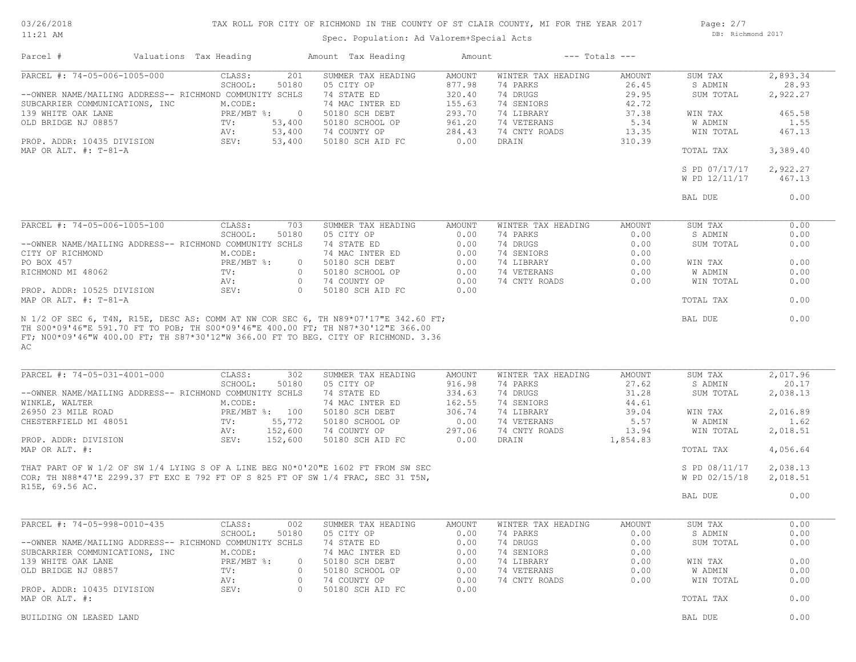03/26/2018 11:21 AM

## TAX ROLL FOR CITY OF RICHMOND IN THE COUNTY OF ST CLAIR COUNTY, MI FOR THE YEAR 2017

Spec. Population: Ad Valorem+Special Acts

Page: 2/7 DB: Richmond 2017

| Parcel #                       | Valuations Tax Heading                                                                                                                                                 | Amount Tax Heading              | Amount         |                           | $---$ Totals $---$ |                    |                  |
|--------------------------------|------------------------------------------------------------------------------------------------------------------------------------------------------------------------|---------------------------------|----------------|---------------------------|--------------------|--------------------|------------------|
| PARCEL #: 74-05-006-1005-000   | CLASS:<br>201                                                                                                                                                          | SUMMER TAX HEADING              | AMOUNT         | WINTER TAX HEADING        | AMOUNT             | SUM TAX            | 2,893.34         |
|                                | 50180<br>SCHOOL:                                                                                                                                                       | 05 CITY OP                      | 877.98         | 74 PARKS                  | 26.45              | S ADMIN            | 28.93            |
|                                | --OWNER NAME/MAILING ADDRESS-- RICHMOND COMMUNITY SCHLS                                                                                                                | 74 STATE ED                     | 320.40         | 74 DRUGS                  | 29.95              | SUM TOTAL          | 2,922.27         |
| SUBCARRIER COMMUNICATIONS, INC | M.CODE:                                                                                                                                                                | 74 MAC INTER ED                 | 155.63         | 74 SENIORS                | 42.72              |                    |                  |
| 139 WHITE OAK LANE             | $PRE/MBT$ %:<br>$\overline{0}$                                                                                                                                         | 50180 SCH DEBT                  | 293.70         | 74 LIBRARY                | 37.38              | WIN TAX            | 465.58           |
| OLD BRIDGE NJ 08857            | TV:<br>53,400                                                                                                                                                          | 50180 SCHOOL OP                 | 961.20         | 74 VETERANS               | 5.34               | W ADMIN            | 1.55             |
|                                | 53,400<br>AV:                                                                                                                                                          | 74 COUNTY OP                    | 284.43         | 74 CNTY ROADS             | 13.35              | WIN TOTAL          | 467.13           |
| PROP. ADDR: 10435 DIVISION     | 53,400<br>SEV:                                                                                                                                                         | 50180 SCH AID FC                | 0.00           | DRAIN                     | 310.39             |                    |                  |
| MAP OR ALT. #: T-81-A          |                                                                                                                                                                        |                                 |                |                           |                    | TOTAL TAX          | 3,389.40         |
|                                |                                                                                                                                                                        |                                 |                |                           |                    | S PD 07/17/17      | 2,922.27         |
|                                |                                                                                                                                                                        |                                 |                |                           |                    | W PD 12/11/17      | 467.13           |
|                                |                                                                                                                                                                        |                                 |                |                           |                    |                    |                  |
|                                |                                                                                                                                                                        |                                 |                |                           |                    | BAL DUE            | 0.00             |
| PARCEL #: 74-05-006-1005-100   | CLASS:<br>703                                                                                                                                                          | SUMMER TAX HEADING              | AMOUNT         | WINTER TAX HEADING        | AMOUNT             | SUM TAX            | 0.00             |
|                                | SCHOOL:<br>50180                                                                                                                                                       | 05 CITY OP                      | 0.00           | 74 PARKS                  | 0.00               | S ADMIN            | 0.00             |
|                                | --OWNER NAME/MAILING ADDRESS-- RICHMOND COMMUNITY SCHLS                                                                                                                | 74 STATE ED                     | 0.00           | 74 DRUGS                  | 0.00               | SUM TOTAL          | 0.00             |
| CITY OF RICHMOND               | M.CODE:                                                                                                                                                                | 74 MAC INTER ED                 | 0.00           | 74 SENIORS                | 0.00               |                    |                  |
| PO BOX 457                     | PRE/MBT %:                                                                                                                                                             | $\circ$<br>50180 SCH DEBT       | 0.00           | 74 LIBRARY                | 0.00               | WIN TAX            | 0.00             |
| RICHMOND MI 48062              | TV:                                                                                                                                                                    | $\circ$<br>50180 SCHOOL OP      | 0.00           | 74 VETERANS               | 0.00               | W ADMIN            | 0.00             |
|                                | AV:                                                                                                                                                                    | $\circ$<br>74 COUNTY OP         | 0.00           | 74 CNTY ROADS             | 0.00               | WIN TOTAL          | 0.00             |
| PROP. ADDR: 10525 DIVISION     | SEV:                                                                                                                                                                   | $\circ$<br>50180 SCH AID FC     | 0.00           |                           |                    |                    |                  |
| MAP OR ALT. #: T-81-A          |                                                                                                                                                                        |                                 |                |                           |                    | TOTAL TAX          | 0.00             |
| AC                             | TH S00*09'46"E 591.70 FT TO POB; TH S00*09'46"E 400.00 FT; TH N87*30'12"E 366.00<br>FT; N00*09'46"W 400.00 FT; TH S87*30'12"W 366.00 FT TO BEG. CITY OF RICHMOND. 3.36 |                                 |                |                           |                    |                    |                  |
| PARCEL #: 74-05-031-4001-000   | 302<br>CLASS:                                                                                                                                                          | SUMMER TAX HEADING              | AMOUNT         | WINTER TAX HEADING        | AMOUNT             | SUM TAX            | 2,017.96         |
|                                | SCHOOL:<br>50180                                                                                                                                                       | 05 CITY OP                      | 916.98         | 74 PARKS                  | 27.62              | S ADMIN            | 20.17            |
|                                | --OWNER NAME/MAILING ADDRESS-- RICHMOND COMMUNITY SCHLS                                                                                                                | 74 STATE ED                     | 334.63         | 74 DRUGS                  | 31.28              | SUM TOTAL          | 2,038.13         |
| WINKLE, WALTER                 | M.CODE:                                                                                                                                                                | 74 MAC INTER ED                 | 162.55         | 74 SENIORS                | 44.61              |                    |                  |
| 26950 23 MILE ROAD             | PRE/MBT %: 100<br>TV:                                                                                                                                                  | 50180 SCH DEBT                  | 306.74         | 74 LIBRARY<br>74 VETERANS | 39.04<br>5.57      | WIN TAX<br>W ADMIN | 2,016.89<br>1.62 |
| CHESTERFIELD MI 48051          | 55,772<br>152,600<br>AV:                                                                                                                                               | 50180 SCHOOL OP<br>74 COUNTY OP | 0.00<br>297.06 | 74 CNTY ROADS             | 13.94              | WIN TOTAL          | 2,018.51         |
| PROP. ADDR: DIVISION           | 152,600<br>SEV:                                                                                                                                                        | 50180 SCH AID FC                | 0.00           | DRAIN                     | 1,854.83           |                    |                  |
| MAP OR ALT. #:                 |                                                                                                                                                                        |                                 |                |                           |                    | TOTAL TAX          | 4,056.64         |
|                                |                                                                                                                                                                        |                                 |                |                           |                    |                    |                  |
|                                | THAT PART OF W 1/2 OF SW 1/4 LYING S OF A LINE BEG N0*0'20"E 1602 FT FROM SW SEC                                                                                       |                                 |                |                           |                    | S PD 08/11/17      | 2,038.13         |
|                                | COR; TH N88*47'E 2299.37 FT EXC E 792 FT OF S 825 FT OF SW 1/4 FRAC, SEC 31 T5N,                                                                                       |                                 |                |                           |                    | W PD 02/15/18      | 2,018.51         |
| R15E, 69.56 AC.                |                                                                                                                                                                        |                                 |                |                           |                    | BAL DUE            | 0.00             |
|                                |                                                                                                                                                                        |                                 |                |                           |                    |                    |                  |
| PARCEL #: 74-05-998-0010-435   | CLASS:<br>002                                                                                                                                                          | SUMMER TAX HEADING              | AMOUNT         | WINTER TAX HEADING        | AMOUNT             | SUM TAX            | 0.00             |
|                                | SCHOOL:<br>50180                                                                                                                                                       | 05 CITY OP                      |                | 0.00 74 PARKS             | 0.00               | S ADMIN            | 0.00             |
|                                | --OWNER NAME/MAILING ADDRESS-- RICHMOND COMMUNITY SCHLS                                                                                                                | 74 STATE ED                     | 0.00           | 74 DRUGS                  | 0.00               | SUM TOTAL          | 0.00             |
| SUBCARRIER COMMUNICATIONS, INC | M.CODE:                                                                                                                                                                | 74 MAC INTER ED                 | 0.00           | 74 SENIORS                | 0.00               |                    |                  |
| 139 WHITE OAK LANE             | PRE/MBT %:                                                                                                                                                             | 50180 SCH DEBT<br>0             | 0.00           | 74 LIBRARY                | 0.00               | WIN TAX            | 0.00             |
| OLD BRIDGE NJ 08857            | TV:                                                                                                                                                                    | 50180 SCHOOL OP<br>$\circ$      | 0.00           | 74 VETERANS               | 0.00               | W ADMIN            | 0.00             |
|                                | AV:                                                                                                                                                                    | 0<br>74 COUNTY OP               | 0.00           | 74 CNTY ROADS             | 0.00               | WIN TOTAL          | 0.00             |
| PROP. ADDR: 10435 DIVISION     | SEV:                                                                                                                                                                   | 50180 SCH AID FC<br>$\circ$     | 0.00           |                           |                    |                    |                  |
| MAP OR ALT. #:                 |                                                                                                                                                                        |                                 |                |                           |                    | TOTAL TAX          | 0.00             |
| BUILDING ON LEASED LAND        |                                                                                                                                                                        |                                 |                |                           |                    | BAL DUE            | 0.00             |
|                                |                                                                                                                                                                        |                                 |                |                           |                    |                    |                  |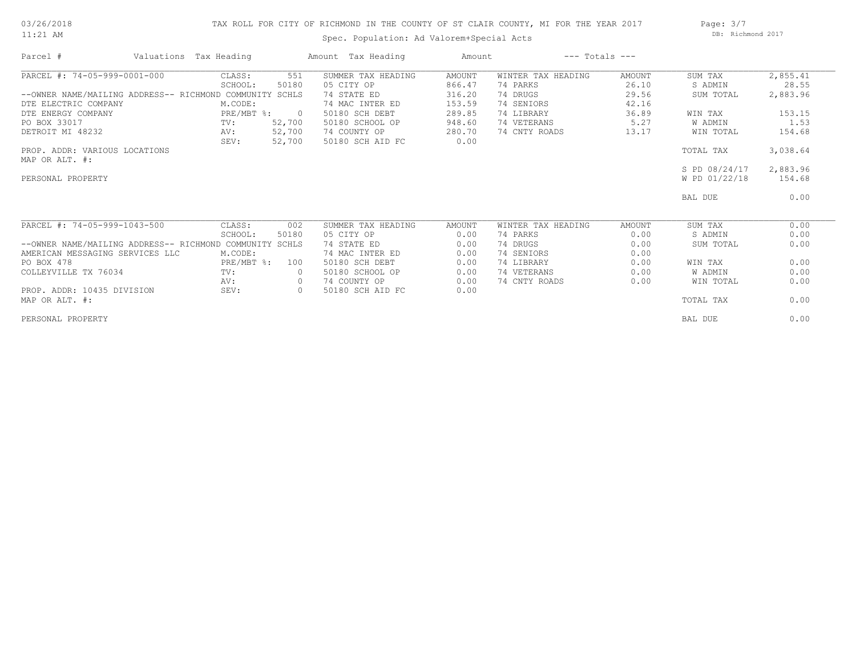## 03/26/2018 11:21 AM

## TAX ROLL FOR CITY OF RICHMOND IN THE COUNTY OF ST CLAIR COUNTY, MI FOR THE YEAR 2017

Spec. Population: Ad Valorem+Special Acts

Page: 3/7 DB: Richmond 2017

| Parcel #                                          | Valuations Tax Heading |                | Amount Tax Heading | Amount | $---$ Totals $---$ |               |               |          |
|---------------------------------------------------|------------------------|----------------|--------------------|--------|--------------------|---------------|---------------|----------|
| PARCEL #: 74-05-999-0001-000                      | CLASS:                 | 551            | SUMMER TAX HEADING | AMOUNT | WINTER TAX HEADING | <b>AMOUNT</b> | SUM TAX       | 2,855.41 |
|                                                   | SCHOOL:                | 50180          | 05 CITY OP         | 866.47 | 74 PARKS           | 26.10         | S ADMIN       | 28.55    |
| --OWNER NAME/MAILING ADDRESS-- RICHMOND COMMUNITY |                        | SCHLS          | 74 STATE ED        | 316.20 | 74 DRUGS           | 29.56         | SUM TOTAL     | 2,883.96 |
| DTE ELECTRIC COMPANY                              | M.CODE:                |                | 74 MAC INTER ED    | 153.59 | 74 SENIORS         | 42.16         |               |          |
| DTE ENERGY COMPANY                                | $PRE/MBT$ $\div$       | $\overline{0}$ | 50180 SCH DEBT     | 289.85 | 74 LIBRARY         | 36.89         | WIN TAX       | 153.15   |
| PO BOX 33017                                      | TV:                    | 52,700         | 50180 SCHOOL OP    | 948.60 | 74 VETERANS        | 5.27          | W ADMIN       | 1.53     |
| DETROIT MI 48232                                  | AV:                    | 52,700         | 74 COUNTY OP       | 280.70 | 74 CNTY ROADS      | 13.17         | WIN TOTAL     | 154.68   |
|                                                   | SEV:                   | 52,700         | 50180 SCH AID FC   | 0.00   |                    |               |               |          |
| PROP. ADDR: VARIOUS LOCATIONS                     |                        |                |                    |        |                    |               | TOTAL TAX     | 3,038.64 |
| MAP OR ALT. #:                                    |                        |                |                    |        |                    |               |               |          |
|                                                   |                        |                |                    |        |                    |               | S PD 08/24/17 | 2,883.96 |
| PERSONAL PROPERTY                                 |                        |                |                    |        |                    |               | W PD 01/22/18 | 154.68   |
|                                                   |                        |                |                    |        |                    |               | BAL DUE       | 0.00     |
| PARCEL #: 74-05-999-1043-500                      | CLASS:                 | 002            | SUMMER TAX HEADING | AMOUNT | WINTER TAX HEADING | AMOUNT        | SUM TAX       | 0.00     |
|                                                   | SCHOOL:                | 50180          | 05 CITY OP         | 0.00   | 74 PARKS           | 0.00          | S ADMIN       | 0.00     |
| --OWNER NAME/MAILING ADDRESS-- RICHMOND COMMUNITY |                        | SCHLS          | 74 STATE ED        | 0.00   | 74 DRUGS           | 0.00          | SUM TOTAL     | 0.00     |
| AMERICAN MESSAGING SERVICES LLC                   | M.CODE:                |                | 74 MAC INTER ED    | 0.00   | 74 SENIORS         | 0.00          |               |          |
| PO BOX 478                                        | PRE/MBT %:             | 100            | 50180 SCH DEBT     | 0.00   | 74 LIBRARY         | 0.00          | WIN TAX       | 0.00     |
| COLLEYVILLE TX 76034                              | TV:                    |                | 50180 SCHOOL OP    | 0.00   | 74 VETERANS        | 0.00          | W ADMIN       | 0.00     |
|                                                   | AV:                    | $\circ$        | 74 COUNTY OP       | 0.00   | 74 CNTY ROADS      | 0.00          | WIN TOTAL     | 0.00     |
| PROP. ADDR: 10435 DIVISION                        | SEV:                   | $\circ$        | 50180 SCH AID FC   | 0.00   |                    |               |               |          |
| MAP OR ALT. #:                                    |                        |                |                    |        |                    |               | TOTAL TAX     | 0.00     |
| PERSONAL PROPERTY                                 |                        |                |                    |        |                    |               | BAL DUE       | 0.00     |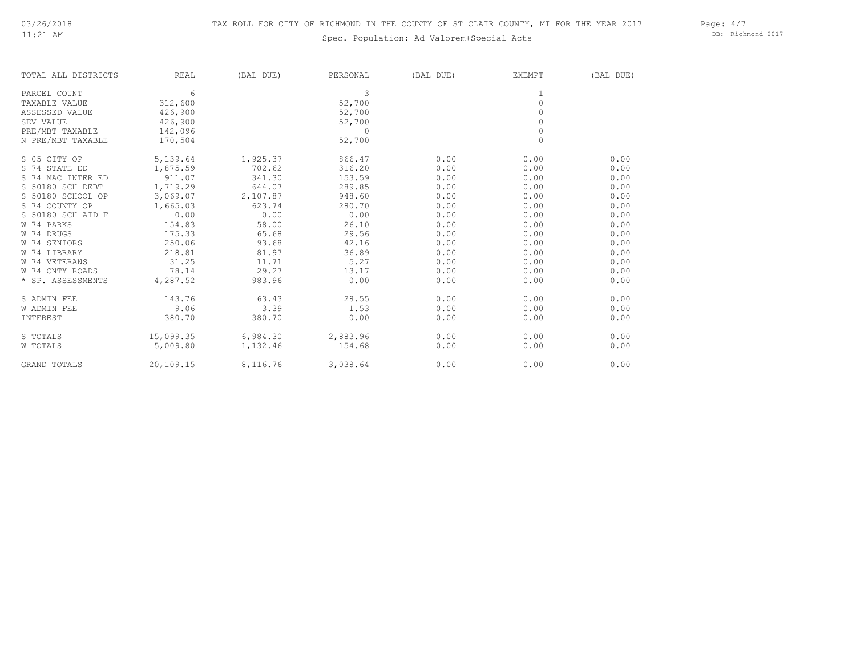## Spec. Population: Ad Valorem+Special Acts

Page: 4/7 DB: Richmond 2017

| TOTAL ALL DISTRICTS | <b>REAL</b> | (BAL DUE) | PERSONAL   | (BAL DUE) | <b>EXEMPT</b> | (BAL DUE) |
|---------------------|-------------|-----------|------------|-----------|---------------|-----------|
| PARCEL COUNT        | 6           |           | 3          |           | $\mathbf{1}$  |           |
| TAXABLE VALUE       | 312,600     |           | 52,700     |           | $\mathbf{0}$  |           |
| ASSESSED VALUE      | 426,900     |           | 52,700     |           | $\circ$       |           |
| SEV VALUE           | 426,900     |           | 52,700     |           | $\circ$       |           |
| PRE/MBT TAXABLE     | 142,096     |           | $\bigcirc$ |           | $\circ$       |           |
| N PRE/MBT TAXABLE   | 170,504     |           | 52,700     |           | $\circ$       |           |
| S 05 CITY OP        | 5,139.64    | 1,925.37  | 866.47     | 0.00      | 0.00          | 0.00      |
| S 74 STATE ED       | 1,875.59    | 702.62    | 316.20     | 0.00      | 0.00          | 0.00      |
| S 74 MAC INTER ED   | 911.07      | 341.30    | 153.59     | 0.00      | 0.00          | 0.00      |
| S 50180 SCH DEBT    | 1,719.29    | 644.07    | 289.85     | 0.00      | 0.00          | 0.00      |
| S 50180 SCHOOL OP   | 3,069.07    | 2,107.87  | 948.60     | 0.00      | 0.00          | 0.00      |
| S 74 COUNTY OP      | 1,665.03    | 623.74    | 280.70     | 0.00      | 0.00          | 0.00      |
| S 50180 SCH AID F   | 0.00        | 0.00      | 0.00       | 0.00      | 0.00          | 0.00      |
| W 74 PARKS          | 154.83      | 58.00     | 26.10      | 0.00      | 0.00          | 0.00      |
| W 74 DRUGS          | 175.33      | 65.68     | 29.56      | 0.00      | 0.00          | 0.00      |
| W 74 SENIORS        | 250.06      | 93.68     | 42.16      | 0.00      | 0.00          | 0.00      |
| W 74 LIBRARY        | 218.81      | 81.97     | 36.89      | 0.00      | 0.00          | 0.00      |
| W 74 VETERANS       | 31.25       | 11.71     | 5.27       | 0.00      | 0.00          | 0.00      |
| W 74 CNTY ROADS     | 78.14       | 29.27     | 13.17      | 0.00      | 0.00          | 0.00      |
| * SP. ASSESSMENTS   | 4,287.52    | 983.96    | 0.00       | 0.00      | 0.00          | 0.00      |
| S ADMIN FEE         | 143.76      | 63.43     | 28.55      | 0.00      | 0.00          | 0.00      |
| <b>W ADMIN FEE</b>  | 9.06        | 3.39      | 1.53       | 0.00      | 0.00          | 0.00      |
| INTEREST            | 380.70      | 380.70    | 0.00       | 0.00      | 0.00          | 0.00      |
| S TOTALS            | 15,099.35   | 6,984.30  | 2,883.96   | 0.00      | 0.00          | 0.00      |
| W TOTALS            | 5,009.80    | 1,132.46  | 154.68     | 0.00      | 0.00          | 0.00      |
| <b>GRAND TOTALS</b> | 20,109.15   | 8,116.76  | 3,038.64   | 0.00      | 0.00          | 0.00      |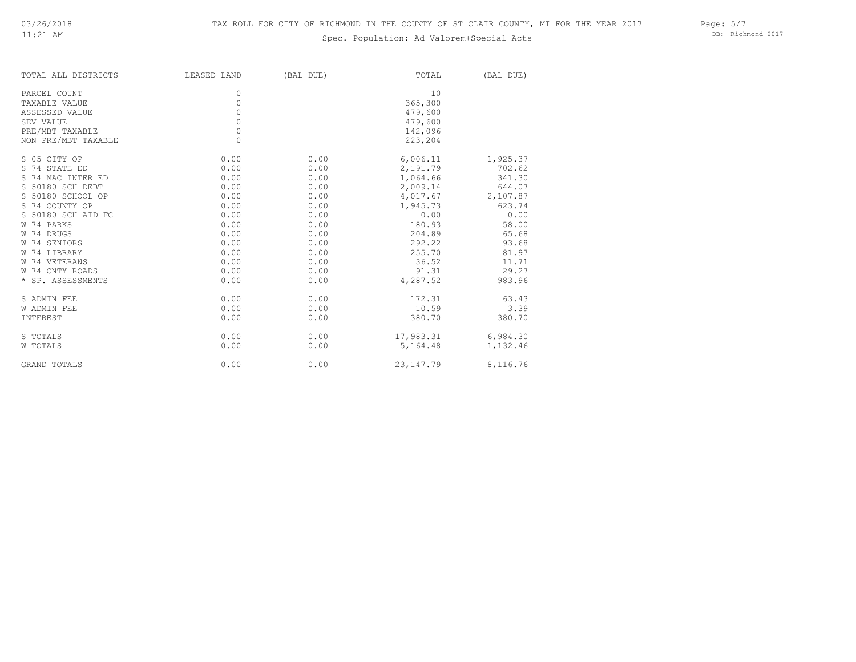## Spec. Population: Ad Valorem+Special Acts

Page: 5/7 DB: Richmond 2017

| TOTAL ALL DISTRICTS | LEASED LAND | (BAL DUE) | TOTAL       | (BAL DUE) |
|---------------------|-------------|-----------|-------------|-----------|
| PARCEL COUNT        | 0           |           | 10          |           |
| TAXABLE VALUE       | 0           |           | 365,300     |           |
| ASSESSED VALUE      | 0           |           | 479,600     |           |
| SEV VALUE           | $\circ$     |           | 479,600     |           |
| PRE/MBT TAXABLE     | $\circ$     |           | 142,096     |           |
| NON PRE/MBT TAXABLE | 0           |           | 223,204     |           |
| S 05 CITY OP        | 0.00        | 0.00      | 6,006.11    | 1,925.37  |
| S 74 STATE ED       | 0.00        | 0.00      | 2,191.79    | 702.62    |
| S 74 MAC INTER ED   | 0.00        | 0.00      | 1,064.66    | 341.30    |
| S 50180 SCH DEBT    | 0.00        | 0.00      | 2,009.14    | 644.07    |
| S 50180 SCHOOL OP   | 0.00        | 0.00      | 4,017.67    | 2,107.87  |
| S 74 COUNTY OP      | 0.00        | 0.00      | 1,945.73    | 623.74    |
| S 50180 SCH AID FC  | 0.00        | 0.00      | 0.00        | 0.00      |
| W 74 PARKS          | 0.00        | 0.00      | 180.93      | 58.00     |
| W 74 DRUGS          | 0.00        | 0.00      | 204.89      | 65.68     |
| W 74 SENIORS        | 0.00        | 0.00      | 292.22      | 93.68     |
| W 74 LIBRARY        | 0.00        | 0.00      | 255.70      | 81.97     |
| W 74 VETERANS       | 0.00        | 0.00      | 36.52       | 11.71     |
| W 74 CNTY ROADS     | 0.00        | 0.00      | 91.31       | 29.27     |
| * SP. ASSESSMENTS   | 0.00        | 0.00      | 4,287.52    | 983.96    |
| S ADMIN FEE         | 0.00        | 0.00      | 172.31      | 63.43     |
| W ADMIN FEE         | 0.00        | 0.00      | 10.59       | 3.39      |
| INTEREST            | 0.00        | 0.00      | 380.70      | 380.70    |
| S TOTALS            | 0.00        | 0.00      | 17,983.31   | 6,984.30  |
| W TOTALS            | 0.00        | 0.00      | 5,164.48    | 1,132.46  |
| GRAND TOTALS        | 0.00        | 0.00      | 23, 147. 79 | 8,116.76  |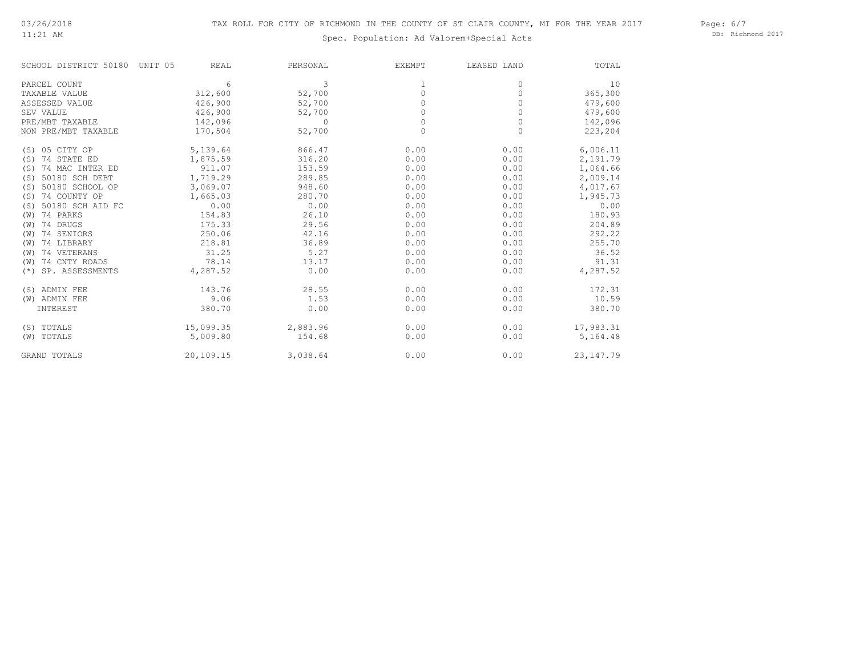11:21 AM

# Spec. Population: Ad Valorem+Special Acts

Page: 6/7 DB: Richmond 2017

| SCHOOL DISTRICT 50180 UNIT 05 | <b>REAL</b> | PERSONAL | EXEMPT   | LEASED LAND | TOTAL       |
|-------------------------------|-------------|----------|----------|-------------|-------------|
| PARCEL COUNT                  | 6           | 3        | 1        | 0           | 10          |
| TAXABLE VALUE                 | 312,600     | 52,700   | 0        | 0           | 365,300     |
| ASSESSED VALUE                | 426,900     | 52,700   | $\Omega$ | $\Omega$    | 479,600     |
| SEV VALUE                     | 426,900     | 52,700   | $\Omega$ | $\Omega$    | 479,600     |
| PRE/MBT TAXABLE               | 142,096     | 0        | 0        | 0           | 142,096     |
| NON PRE/MBT TAXABLE           | 170,504     | 52,700   | $\circ$  | 0           | 223,204     |
| (S) 05 CITY OP                | 5,139.64    | 866.47   | 0.00     | 0.00        | 6,006.11    |
| $(S)$ 74 STATE ED             | 1,875.59    | 316.20   | 0.00     | 0.00        | 2,191.79    |
| 74 MAC INTER ED<br>(S)        | 911.07      | 153.59   | 0.00     | 0.00        | 1,064.66    |
| 50180 SCH DEBT<br>(S)         | 1,719.29    | 289.85   | 0.00     | 0.00        | 2,009.14    |
| 50180 SCHOOL OP<br>(S)        | 3,069.07    | 948.60   | 0.00     | 0.00        | 4,017.67    |
| 74 COUNTY OP<br>(S)           | 1,665.03    | 280.70   | 0.00     | 0.00        | 1,945.73    |
| 50180 SCH AID FC<br>(S)       | 0.00        | 0.00     | 0.00     | 0.00        | 0.00        |
| 74 PARKS<br>(W)               | 154.83      | 26.10    | 0.00     | 0.00        | 180.93      |
| 74 DRUGS<br>(W)               | 175.33      | 29.56    | 0.00     | 0.00        | 204.89      |
| 74 SENIORS<br>(W)             | 250.06      | 42.16    | 0.00     | 0.00        | 292.22      |
| 74 LIBRARY<br>(W)             | 218.81      | 36.89    | 0.00     | 0.00        | 255.70      |
| 74 VETERANS<br>(W)            | 31.25       | 5.27     | 0.00     | 0.00        | 36.52       |
| 74 CNTY ROADS<br>(W)          | 78.14       | 13.17    | 0.00     | 0.00        | 91.31       |
| SP. ASSESSMENTS<br>$(* )$     | 4,287.52    | 0.00     | 0.00     | 0.00        | 4,287.52    |
| (S) ADMIN FEE                 | 143.76      | 28.55    | 0.00     | 0.00        | 172.31      |
| (W) ADMIN FEE                 | 9.06        | 1.53     | 0.00     | 0.00        | 10.59       |
| INTEREST                      | 380.70      | 0.00     | 0.00     | 0.00        | 380.70      |
| (S) TOTALS                    | 15,099.35   | 2,883.96 | 0.00     | 0.00        | 17,983.31   |
| (W) TOTALS                    | 5,009.80    | 154.68   | 0.00     | 0.00        | 5,164.48    |
| GRAND TOTALS                  | 20,109.15   | 3,038.64 | 0.00     | 0.00        | 23, 147. 79 |